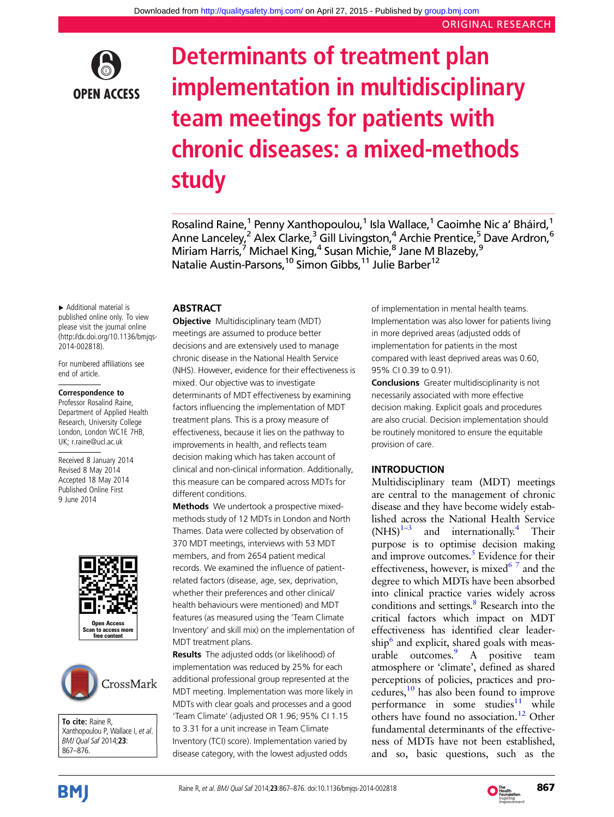

▸ Additional material is published online only. To view please visit the journal online ([http://dx.doi.org/10.1136/bmjqs-](http://dx.doi.org/10.1136/bmjqs-2014-002818)

For numbered affiliations see

Correspondence to Professor Rosalind Raine, Department of Applied Health Research, University College London, London WC1E 7HB, UK; r.raine@ucl.ac.uk Received 8 January 2014 Revised 8 May 2014 Accepted 18 May 2014 Published Online First 9 June 2014

[2014-002818](http://dx.doi.org/10.1136/bmjqs-2014-002818)).

end of article.

# Determinants of treatment plan implementation in multidisciplinary team meetings for patients with chronic diseases: a mixed-methods study

Rosalind Raine,<sup>1</sup> Penny Xanthopoulou,<sup>1</sup> Isla Wallace,<sup>1</sup> Caoimhe Nic a' Bháird,<sup>1</sup> Anne Lanceley,<sup>2</sup> Alex Clarke,<sup>3</sup> Gill Livingston,<sup>4</sup> Archie Prentice,<sup>5</sup> Dave Ardron,<sup>6</sup> Miriam Harris,<sup>7</sup> Michael King,<sup>4</sup> Susan Michie,<sup>8</sup> Jane M Blazeby,<sup>9</sup> Natalie Austin-Parsons,<sup>10</sup> Simon Gibbs,<sup>11</sup> Julie Barber<sup>12</sup>

ABSTRACT

**Objective** Multidisciplinary team (MDT) meetings are assumed to produce better decisions and are extensively used to manage chronic disease in the National Health Service (NHS). However, evidence for their effectiveness is mixed. Our objective was to investigate determinants of MDT effectiveness by examining factors influencing the implementation of MDT treatment plans. This is a proxy measure of effectiveness, because it lies on the pathway to improvements in health, and reflects team decision making which has taken account of clinical and non-clinical information. Additionally, this measure can be compared across MDTs for different conditions.

Methods We undertook a prospective mixedmethods study of 12 MDTs in London and North Thames. Data were collected by observation of 370 MDT meetings, interviews with 53 MDT members, and from 2654 patient medical records. We examined the influence of patientrelated factors (disease, age, sex, deprivation, whether their preferences and other clinical/ health behaviours were mentioned) and MDT features (as measured using the 'Team Climate Inventory' and skill mix) on the implementation of MDT treatment plans.

Results The adjusted odds (or likelihood) of implementation was reduced by 25% for each additional professional group represented at the MDT meeting. Implementation was more likely in MDTs with clear goals and processes and a good 'Team Climate' (adjusted OR 1.96; 95% CI 1.15 to 3.31 for a unit increase in Team Climate Inventory (TCI) score). Implementation varied by disease category, with the lowest adjusted odds

of implementation in mental health teams. Implementation was also lower for patients living in more deprived areas (adjusted odds of implementation for patients in the most compared with least deprived areas was 0.60, 95% CI 0.39 to 0.91).

Conclusions Greater multidisciplinarity is not necessarily associated with more effective decision making. Explicit goals and procedures are also crucial. Decision implementation should be routinely monitored to ensure the equitable provision of care.

## INTRODUCTION

Multidisciplinary team (MDT) meetings are central to the management of chronic disease and they have become widely established across the National Health Service  $(NHS)^{1-3}$  and internationally.<sup>4</sup> Their purpose is to optimise decision making and improve outcomes.<sup>5</sup> Evidence for their effectiveness, however, is mixed $6^{\degree}$  and the degree to which MDTs have been absorbed into clinical practice varies widely across conditions and settings.<sup>[8](#page-9-0)</sup> Research into the critical factors which impact on MDT effectiveness has identified clear leader- $\text{ship}^6$  $\text{ship}^6$  and explicit, shared goals with measurable outcomes.<sup>9</sup> A positive team atmosphere or 'climate', defined as shared perceptions of policies, practices and procedures[,10](#page-9-0) has also been found to improve performance in some studies $1/1$  while others have found no association.<sup>12</sup> Other fundamental determinants of the effectiveness of MDTs have not been established, and so, basic questions, such as the



867–876.

To cite: Raine R,

Xanthopoulou P, Wallace I, et al. BMJ Qual Saf 2014;23:

CrossMark

Open Access to access mo free content

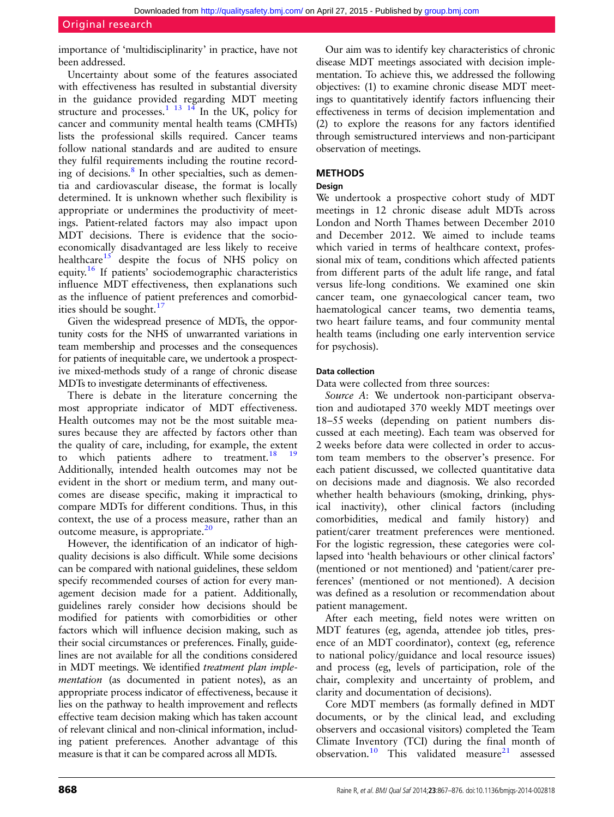#### Original research

importance of 'multidisciplinarity' in practice, have not been addressed.

Uncertainty about some of the features associated with effectiveness has resulted in substantial diversity in the guidance provided regarding MDT meeting structure and processes. $\frac{1 \text{ 13 } 14 \text{ In the UK, policy for}}{1 \text{ 15 } 14 \text{ In the UK, policy for}}$  $\frac{1 \text{ 13 } 14 \text{ In the UK, policy for}}{1 \text{ 15 } 14 \text{ In the UK, policy for}}$  $\frac{1 \text{ 13 } 14 \text{ In the UK, policy for}}{1 \text{ 15 } 14 \text{ In the UK, policy for}}$ cancer and community mental health teams (CMHTs) lists the professional skills required. Cancer teams follow national standards and are audited to ensure they fulfil requirements including the routine recording of decisions. $8 \text{ In other specialists, such as }$  $8 \text{ In other specialists, such as }$  dementia and cardiovascular disease, the format is locally determined. It is unknown whether such flexibility is appropriate or undermines the productivity of meetings. Patient-related factors may also impact upon MDT decisions. There is evidence that the socioeconomically disadvantaged are less likely to receive healthcare $15$  despite the focus of NHS policy on equity.<sup>16</sup> If patients' sociodemographic characteristics influence MDT effectiveness, then explanations such as the influence of patient preferences and comorbid-ities should be sought.<sup>[17](#page-9-0)</sup>

Given the widespread presence of MDTs, the opportunity costs for the NHS of unwarranted variations in team membership and processes and the consequences for patients of inequitable care, we undertook a prospective mixed-methods study of a range of chronic disease MDTs to investigate determinants of effectiveness.

There is debate in the literature concerning the most appropriate indicator of MDT effectiveness. Health outcomes may not be the most suitable measures because they are affected by factors other than the quality of care, including, for example, the extent to which patients adhere to treatment. $18$   $19$ Additionally, intended health outcomes may not be evident in the short or medium term, and many outcomes are disease specific, making it impractical to compare MDTs for different conditions. Thus, in this context, the use of a process measure, rather than an outcome measure, is appropriate. $20$ 

However, the identification of an indicator of highquality decisions is also difficult. While some decisions can be compared with national guidelines, these seldom specify recommended courses of action for every management decision made for a patient. Additionally, guidelines rarely consider how decisions should be modified for patients with comorbidities or other factors which will influence decision making, such as their social circumstances or preferences. Finally, guidelines are not available for all the conditions considered in MDT meetings. We identified treatment plan implementation (as documented in patient notes), as an appropriate process indicator of effectiveness, because it lies on the pathway to health improvement and reflects effective team decision making which has taken account of relevant clinical and non-clinical information, including patient preferences. Another advantage of this measure is that it can be compared across all MDTs.

Our aim was to identify key characteristics of chronic disease MDT meetings associated with decision implementation. To achieve this, we addressed the following objectives: (1) to examine chronic disease MDT meetings to quantitatively identify factors influencing their effectiveness in terms of decision implementation and (2) to explore the reasons for any factors identified through semistructured interviews and non-participant observation of meetings.

## **METHODS**

#### Design

We undertook a prospective cohort study of MDT meetings in 12 chronic disease adult MDTs across London and North Thames between December 2010 and December 2012. We aimed to include teams which varied in terms of healthcare context, professional mix of team, conditions which affected patients from different parts of the adult life range, and fatal versus life-long conditions. We examined one skin cancer team, one gynaecological cancer team, two haematological cancer teams, two dementia teams, two heart failure teams, and four community mental health teams (including one early intervention service for psychosis).

#### Data collection

Data were collected from three sources:

Source A: We undertook non-participant observation and audiotaped 370 weekly MDT meetings over 18–55 weeks (depending on patient numbers discussed at each meeting). Each team was observed for 2 weeks before data were collected in order to accustom team members to the observer's presence. For each patient discussed, we collected quantitative data on decisions made and diagnosis. We also recorded whether health behaviours (smoking, drinking, physical inactivity), other clinical factors (including comorbidities, medical and family history) and patient/carer treatment preferences were mentioned. For the logistic regression, these categories were collapsed into 'health behaviours or other clinical factors' (mentioned or not mentioned) and 'patient/carer preferences' (mentioned or not mentioned). A decision was defined as a resolution or recommendation about patient management.

After each meeting, field notes were written on MDT features (eg, agenda, attendee job titles, presence of an MDT coordinator), context (eg, reference to national policy/guidance and local resource issues) and process (eg, levels of participation, role of the chair, complexity and uncertainty of problem, and clarity and documentation of decisions).

Core MDT members (as formally defined in MDT documents, or by the clinical lead, and excluding observers and occasional visitors) completed the Team Climate Inventory (TCI) during the final month of observation.<sup>[10](#page-9-0)</sup> This validated measure<sup>[21](#page-9-0)</sup> assessed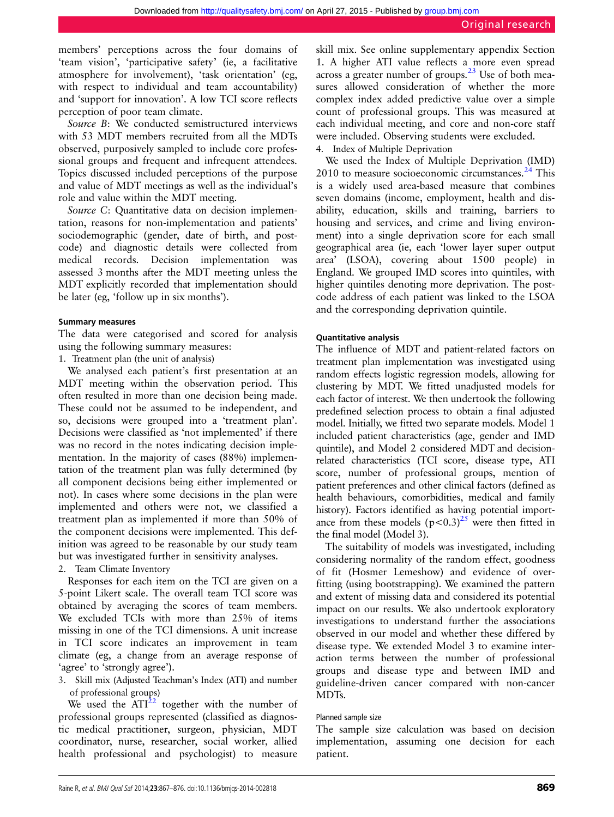members' perceptions across the four domains of 'team vision', 'participative safety' (ie, a facilitative atmosphere for involvement), 'task orientation' (eg, with respect to individual and team accountability) and 'support for innovation'. A low TCI score reflects perception of poor team climate.

Source B: We conducted semistructured interviews with 53 MDT members recruited from all the MDTs observed, purposively sampled to include core professional groups and frequent and infrequent attendees. Topics discussed included perceptions of the purpose and value of MDT meetings as well as the individual's role and value within the MDT meeting.

Source C: Quantitative data on decision implementation, reasons for non-implementation and patients' sociodemographic (gender, date of birth, and postcode) and diagnostic details were collected from medical records. Decision implementation was assessed 3 months after the MDT meeting unless the MDT explicitly recorded that implementation should be later (eg, 'follow up in six months').

#### Summary measures

The data were categorised and scored for analysis using the following summary measures:

1. Treatment plan (the unit of analysis)

We analysed each patient's first presentation at an MDT meeting within the observation period. This often resulted in more than one decision being made. These could not be assumed to be independent, and so, decisions were grouped into a 'treatment plan'. Decisions were classified as 'not implemented' if there was no record in the notes indicating decision implementation. In the majority of cases (88%) implementation of the treatment plan was fully determined (by all component decisions being either implemented or not). In cases where some decisions in the plan were implemented and others were not, we classified a treatment plan as implemented if more than 50% of the component decisions were implemented. This definition was agreed to be reasonable by our study team but was investigated further in sensitivity analyses.

2. Team Climate Inventory

Responses for each item on the TCI are given on a 5-point Likert scale. The overall team TCI score was obtained by averaging the scores of team members. We excluded TCIs with more than 25% of items missing in one of the TCI dimensions. A unit increase in TCI score indicates an improvement in team climate (eg, a change from an average response of 'agree' to 'strongly agree').

3. Skill mix (Adjusted Teachman's Index (ATI) and number of professional groups)

We used the  $ATI<sup>22</sup>$  $ATI<sup>22</sup>$  $ATI<sup>22</sup>$  together with the number of professional groups represented (classified as diagnostic medical practitioner, surgeon, physician, MDT coordinator, nurse, researcher, social worker, allied health professional and psychologist) to measure

skill mix. See online supplementary appendix Section 1. A higher ATI value reflects a more even spread across a greater number of groups. $^{23}$  $^{23}$  $^{23}$  Use of both measures allowed consideration of whether the more complex index added predictive value over a simple count of professional groups. This was measured at each individual meeting, and core and non-core staff were included. Observing students were excluded. 4. Index of Multiple Deprivation

We used the Index of Multiple Deprivation (IMD)  $2010$  to measure socioeconomic circumstances.<sup>[24](#page-9-0)</sup> This is a widely used area-based measure that combines seven domains (income, employment, health and disability, education, skills and training, barriers to housing and services, and crime and living environment) into a single deprivation score for each small geographical area (ie, each 'lower layer super output area' (LSOA), covering about 1500 people) in England. We grouped IMD scores into quintiles, with higher quintiles denoting more deprivation. The postcode address of each patient was linked to the LSOA and the corresponding deprivation quintile.

#### Quantitative analysis

The influence of MDT and patient-related factors on treatment plan implementation was investigated using random effects logistic regression models, allowing for clustering by MDT. We fitted unadjusted models for each factor of interest. We then undertook the following predefined selection process to obtain a final adjusted model. Initially, we fitted two separate models. Model 1 included patient characteristics (age, gender and IMD quintile), and Model 2 considered MDT and decisionrelated characteristics (TCI score, disease type, ATI score, number of professional groups, mention of patient preferences and other clinical factors (defined as health behaviours, comorbidities, medical and family history). Factors identified as having potential importance from these models  $(p<0.3)^{25}$  were then fitted in the final model (Model 3).

The suitability of models was investigated, including considering normality of the random effect, goodness of fit (Hosmer Lemeshow) and evidence of overfitting (using bootstrapping). We examined the pattern and extent of missing data and considered its potential impact on our results. We also undertook exploratory investigations to understand further the associations observed in our model and whether these differed by disease type. We extended Model 3 to examine interaction terms between the number of professional groups and disease type and between IMD and guideline-driven cancer compared with non-cancer MDTs.

## Planned sample size

The sample size calculation was based on decision implementation, assuming one decision for each patient.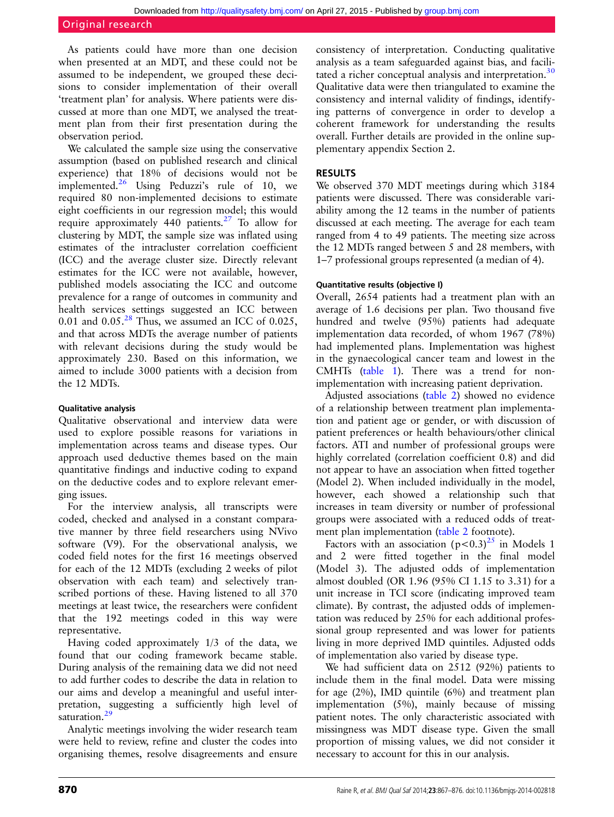#### Original research

As patients could have more than one decision when presented at an MDT, and these could not be assumed to be independent, we grouped these decisions to consider implementation of their overall 'treatment plan' for analysis. Where patients were discussed at more than one MDT, we analysed the treatment plan from their first presentation during the observation period.

We calculated the sample size using the conservative assumption (based on published research and clinical experience) that 18% of decisions would not be implemented.[26](#page-9-0) Using Peduzzi's rule of 10, we required 80 non-implemented decisions to estimate eight coefficients in our regression model; this would require approximately  $440$  patients.<sup>[27](#page-9-0)</sup> To allow for clustering by MDT, the sample size was inflated using estimates of the intracluster correlation coefficient (ICC) and the average cluster size. Directly relevant estimates for the ICC were not available, however, published models associating the ICC and outcome prevalence for a range of outcomes in community and health services settings suggested an ICC between 0.01 and  $0.05<sup>28</sup>$  $0.05<sup>28</sup>$  $0.05<sup>28</sup>$  Thus, we assumed an ICC of 0.025, and that across MDTs the average number of patients with relevant decisions during the study would be approximately 230. Based on this information, we aimed to include 3000 patients with a decision from the 12 MDTs.

#### Qualitative analysis

Qualitative observational and interview data were used to explore possible reasons for variations in implementation across teams and disease types. Our approach used deductive themes based on the main quantitative findings and inductive coding to expand on the deductive codes and to explore relevant emerging issues.

For the interview analysis, all transcripts were coded, checked and analysed in a constant comparative manner by three field researchers using NVivo software (V9). For the observational analysis, we coded field notes for the first 16 meetings observed for each of the 12 MDTs (excluding 2 weeks of pilot observation with each team) and selectively transcribed portions of these. Having listened to all 370 meetings at least twice, the researchers were confident that the 192 meetings coded in this way were representative.

Having coded approximately 1/3 of the data, we found that our coding framework became stable. During analysis of the remaining data we did not need to add further codes to describe the data in relation to our aims and develop a meaningful and useful interpretation, suggesting a sufficiently high level of saturation.<sup>[29](#page-9-0)</sup>

Analytic meetings involving the wider research team were held to review, refine and cluster the codes into organising themes, resolve disagreements and ensure consistency of interpretation. Conducting qualitative analysis as a team safeguarded against bias, and facili-tated a richer conceptual analysis and interpretation.<sup>[30](#page-9-0)</sup> Qualitative data were then triangulated to examine the consistency and internal validity of findings, identifying patterns of convergence in order to develop a coherent framework for understanding the results overall. Further details are provided in the online supplementary appendix Section 2.

## RESULTS

We observed 370 MDT meetings during which 3184 patients were discussed. There was considerable variability among the 12 teams in the number of patients discussed at each meeting. The average for each team ranged from 4 to 49 patients. The meeting size across the 12 MDTs ranged between 5 and 28 members, with 1–7 professional groups represented (a median of 4).

#### Quantitative results (objective I)

Overall, 2654 patients had a treatment plan with an average of 1.6 decisions per plan. Two thousand five hundred and twelve (95%) patients had adequate implementation data recorded, of whom 1967 (78%) had implemented plans. Implementation was highest in the gynaecological cancer team and lowest in the CMHTs [\(table 1\)](#page-4-0). There was a trend for nonimplementation with increasing patient deprivation.

Adjusted associations [\(table 2](#page-5-0)) showed no evidence of a relationship between treatment plan implementation and patient age or gender, or with discussion of patient preferences or health behaviours/other clinical factors. ATI and number of professional groups were highly correlated (correlation coefficient 0.8) and did not appear to have an association when fitted together (Model 2). When included individually in the model, however, each showed a relationship such that increases in team diversity or number of professional groups were associated with a reduced odds of treatment plan implementation ([table 2](#page-5-0) footnote).

Factors with an association  $(p<0.3)^{25}$  $(p<0.3)^{25}$  $(p<0.3)^{25}$  in Models 1 and 2 were fitted together in the final model (Model 3). The adjusted odds of implementation almost doubled (OR 1.96 (95% CI 1.15 to 3.31) for a unit increase in TCI score (indicating improved team climate). By contrast, the adjusted odds of implementation was reduced by 25% for each additional professional group represented and was lower for patients living in more deprived IMD quintiles. Adjusted odds of implementation also varied by disease type.

We had sufficient data on 2512 (92%) patients to include them in the final model. Data were missing for age (2%), IMD quintile (6%) and treatment plan implementation (5%), mainly because of missing patient notes. The only characteristic associated with missingness was MDT disease type. Given the small proportion of missing values, we did not consider it necessary to account for this in our analysis.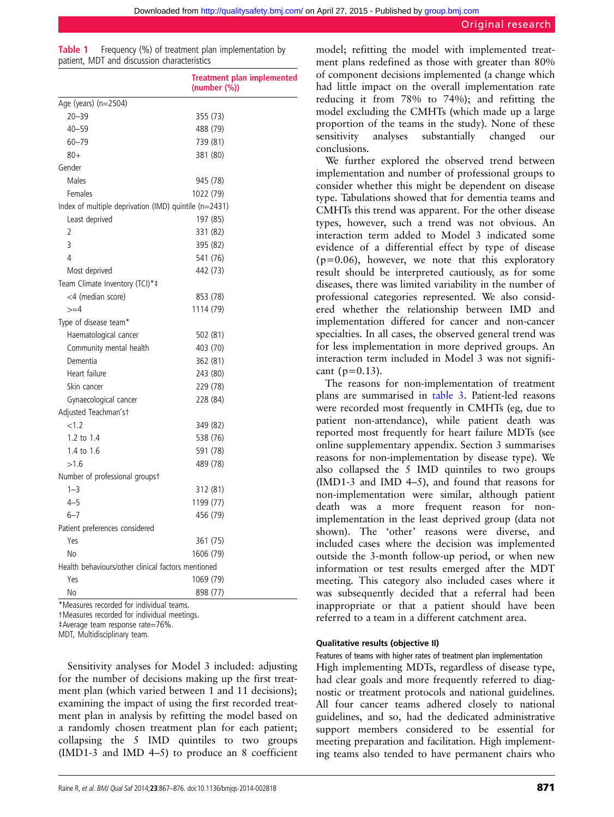<span id="page-4-0"></span>

|  | <b>Table 1</b> Frequency (%) of treatment plan implementation by |  |  |
|--|------------------------------------------------------------------|--|--|
|  | patient, MDT and discussion characteristics                      |  |  |

|                                                       | <b>Treatment plan implemented</b><br>$(number (\%))$ |
|-------------------------------------------------------|------------------------------------------------------|
| Age (years) (n=2504)                                  |                                                      |
| $20 - 39$                                             | 355 (73)                                             |
| $40 - 59$                                             | 488 (79)                                             |
| 60–79                                                 | 739 (81)                                             |
| $80+$                                                 | 381 (80)                                             |
| Gender                                                |                                                      |
| Males                                                 | 945 (78)                                             |
| Females                                               | 1022 (79)                                            |
| Index of multiple deprivation (IMD) quintile (n=2431) |                                                      |
| Least deprived                                        | 197 (85)                                             |
| 2                                                     | 331 (82)                                             |
| 3                                                     | 395 (82)                                             |
| 4                                                     | 541 (76)                                             |
| Most deprived                                         | 442 (73)                                             |
| Team Climate Inventory (TCI)*‡                        |                                                      |
| <4 (median score)                                     | 853 (78)                                             |
| $>=$ 4                                                | 1114 (79)                                            |
| Type of disease team*                                 |                                                      |
| Haematological cancer                                 | 502 (81)                                             |
| Community mental health                               | 403 (70)                                             |
| Dementia                                              | 362 (81)                                             |
| Heart failure                                         | 243 (80)                                             |
| Skin cancer                                           | 229 (78)                                             |
| Gynaecological cancer                                 | 228 (84)                                             |
| Adjusted Teachman'st                                  |                                                      |
| < 1.2                                                 | 349 (82)                                             |
| 1.2 to 1.4                                            | 538 (76)                                             |
| 1.4 to 1.6                                            | 591 (78)                                             |
| >1.6                                                  | 489 (78)                                             |
| Number of professional groupst                        |                                                      |
| $1 - 3$                                               | 312 (81)                                             |
| $4 - 5$                                               | 1199 (77)                                            |
| $6 - 7$                                               | 456 (79)                                             |
| Patient preferences considered                        |                                                      |
| Yes                                                   | 361 (75)                                             |
| No                                                    | 1606 (79)                                            |
| Health behaviours/other clinical factors mentioned    |                                                      |
| Yes                                                   | 1069 (79)                                            |
| No                                                    | 898 (77)                                             |

\*Measures recorded for individual teams.

†Measures recorded for individual meetings. ‡Average team response rate=76%.

MDT, Multidisciplinary team.

Sensitivity analyses for Model 3 included: adjusting for the number of decisions making up the first treatment plan (which varied between 1 and 11 decisions); examining the impact of using the first recorded treatment plan in analysis by refitting the model based on a randomly chosen treatment plan for each patient; collapsing the 5 IMD quintiles to two groups (IMD1-3 and IMD 4–5) to produce an 8 coefficient model; refitting the model with implemented treatment plans redefined as those with greater than 80% of component decisions implemented (a change which had little impact on the overall implementation rate reducing it from 78% to 74%); and refitting the model excluding the CMHTs (which made up a large proportion of the teams in the study). None of these sensitivity analyses substantially changed our conclusions.

We further explored the observed trend between implementation and number of professional groups to consider whether this might be dependent on disease type. Tabulations showed that for dementia teams and CMHTs this trend was apparent. For the other disease types, however, such a trend was not obvious. An interaction term added to Model 3 indicated some evidence of a differential effect by type of disease  $(p=0.06)$ , however, we note that this exploratory result should be interpreted cautiously, as for some diseases, there was limited variability in the number of professional categories represented. We also considered whether the relationship between IMD and implementation differed for cancer and non-cancer specialties. In all cases, the observed general trend was for less implementation in more deprived groups. An interaction term included in Model 3 was not significant ( $p=0.13$ ).

The reasons for non-implementation of treatment plans are summarised in [table 3](#page-6-0). Patient-led reasons were recorded most frequently in CMHTs (eg, due to patient non-attendance), while patient death was reported most frequently for heart failure MDTs (see online supplementary appendix. Section 3 summarises reasons for non-implementation by disease type). We also collapsed the 5 IMD quintiles to two groups (IMD1-3 and IMD 4–5), and found that reasons for non-implementation were similar, although patient death was a more frequent reason for nonimplementation in the least deprived group (data not shown). The 'other' reasons were diverse, and included cases where the decision was implemented outside the 3-month follow-up period, or when new information or test results emerged after the MDT meeting. This category also included cases where it was subsequently decided that a referral had been inappropriate or that a patient should have been referred to a team in a different catchment area.

#### Qualitative results (objective II)

Features of teams with higher rates of treatment plan implementation

High implementing MDTs, regardless of disease type, had clear goals and more frequently referred to diagnostic or treatment protocols and national guidelines. All four cancer teams adhered closely to national guidelines, and so, had the dedicated administrative support members considered to be essential for meeting preparation and facilitation. High implementing teams also tended to have permanent chairs who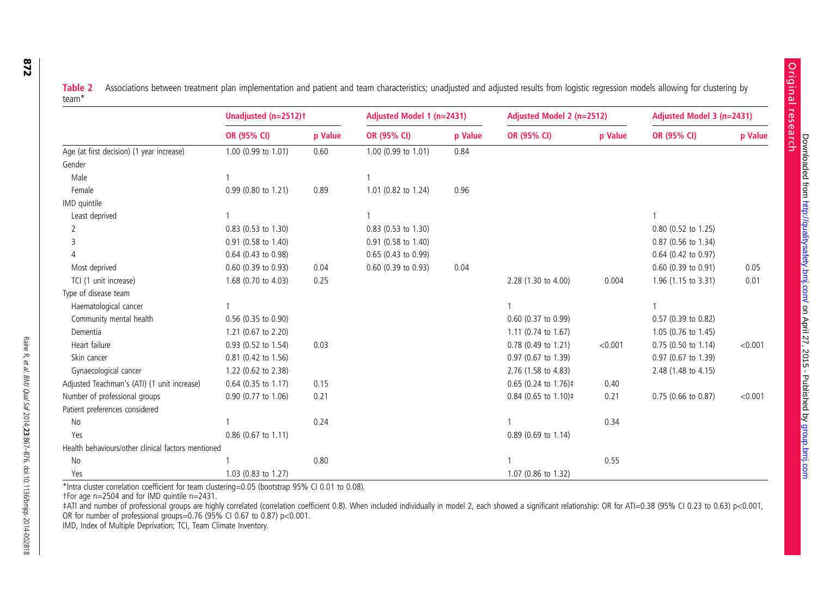|                                                    | Unadjusted (n=2512)t  |         | Adjusted Model 1 (n=2431) |         | Adjusted Model 2 (n=2512) |         | Adjusted Model 3 (n=2431) |         |
|----------------------------------------------------|-----------------------|---------|---------------------------|---------|---------------------------|---------|---------------------------|---------|
|                                                    | OR (95% CI)           | p Value | OR (95% CI)               | p Value | OR (95% CI)               | p Value | OR (95% CI)               | p Value |
| Age (at first decision) (1 year increase)          | 1.00 (0.99 to 1.01)   | 0.60    | 1.00 (0.99 to 1.01)       | 0.84    |                           |         |                           |         |
| Gender                                             |                       |         |                           |         |                           |         |                           |         |
| Male                                               |                       |         |                           |         |                           |         |                           |         |
| Female                                             | 0.99 (0.80 to 1.21)   | 0.89    | 1.01 (0.82 to 1.24)       | 0.96    |                           |         |                           |         |
| IMD quintile                                       |                       |         |                           |         |                           |         |                           |         |
| Least deprived                                     | $\mathbf{1}$          |         |                           |         |                           |         |                           |         |
|                                                    | 0.83 (0.53 to 1.30)   |         | 0.83 (0.53 to 1.30)       |         |                           |         | 0.80 (0.52 to 1.25)       |         |
| 3                                                  | 0.91 (0.58 to 1.40)   |         | 0.91 (0.58 to 1.40)       |         |                           |         | 0.87 (0.56 to 1.34)       |         |
|                                                    | $0.64$ (0.43 to 0.98) |         | 0.65 (0.43 to 0.99)       |         |                           |         | 0.64 (0.42 to 0.97)       |         |
| Most deprived                                      | $0.60$ (0.39 to 0.93) | 0.04    | 0.60 (0.39 to 0.93)       | 0.04    |                           |         | 0.60 (0.39 to 0.91)       | 0.05    |
| TCI (1 unit increase)                              | 1.68 (0.70 to 4.03)   | 0.25    |                           |         | 2.28 (1.30 to 4.00)       | 0.004   | 1.96 (1.15 to 3.31)       | 0.01    |
| Type of disease team                               |                       |         |                           |         |                           |         |                           |         |
| Haematological cancer                              |                       |         |                           |         |                           |         |                           |         |
| Community mental health                            | $0.56$ (0.35 to 0.90) |         |                           |         | 0.60 (0.37 to 0.99)       |         | 0.57 (0.39 to 0.82)       |         |
| Dementia                                           | 1.21 (0.67 to 2.20)   |         |                           |         | 1.11 (0.74 to 1.67)       |         | 1.05 (0.76 to 1.45)       |         |
| Heart failure                                      | 0.93 (0.52 to 1.54)   | 0.03    |                           |         | 0.78 (0.49 to 1.21)       | < 0.001 | 0.75 (0.50 to 1.14)       | < 0.001 |
| Skin cancer                                        | $0.81$ (0.42 to 1.56) |         |                           |         | $0.97$ (0.67 to 1.39)     |         | $0.97$ (0.67 to 1.39)     |         |
| Gynaecological cancer                              | 1.22 (0.62 to 2.38)   |         |                           |         | 2.76 (1.58 to 4.83)       |         | 2.48 (1.48 to 4.15)       |         |
| Adjusted Teachman's (ATI) (1 unit increase)        | $0.64$ (0.35 to 1.17) | 0.15    |                           |         | $0.65$ (0.24 to 1.76)‡    | 0.40    |                           |         |
| Number of professional groups                      | 0.90 (0.77 to 1.06)   | 0.21    |                           |         | $0.84$ (0.65 to 1.10)‡    | 0.21    | $0.75$ (0.66 to 0.87)     | < 0.001 |
| Patient preferences considered                     |                       |         |                           |         |                           |         |                           |         |
| No                                                 |                       | 0.24    |                           |         |                           | 0.34    |                           |         |
| Yes                                                | $0.86$ (0.67 to 1.11) |         |                           |         | 0.89 (0.69 to 1.14)       |         |                           |         |
| Health behaviours/other clinical factors mentioned |                       |         |                           |         |                           |         |                           |         |
| No                                                 |                       | 0.80    |                           |         |                           | 0.55    |                           |         |
| Yes                                                | 1.03 (0.83 to 1.27)   |         |                           |         | 1.07 (0.86 to 1.32)       |         |                           |         |

<span id="page-5-0"></span>Table 2 Associations between treatment plan implementation and patient and team characteristics; unadjusted and adjusted results from logistic regression models allowing for clustering by team\*

\*Intra cluster correlation coefficient for team clustering=0.05 (bootstrap 95% CI 0.01 to 0.08).

†For age n=2504 and for IMD quintile n=2431.

‡ATI and number of professional groups are highly correlated (correlation coefficient 0.8). When included individually in model 2, each showed <sup>a</sup> significant relationship: OR for ATI=0.38 (95% CI 0.23 to 0.63) p<0.001, OR for number of professional groups=0.76 (95% CI 0.67 to 0.87) p<0.001.

IMD, Index of Multiple Deprivation; TCI, Team Climate Inventory.

Raine R,

et al . BMJ Qual Saf

2014;23:867

–876. doi:10.1136/bmjqs-2014-002818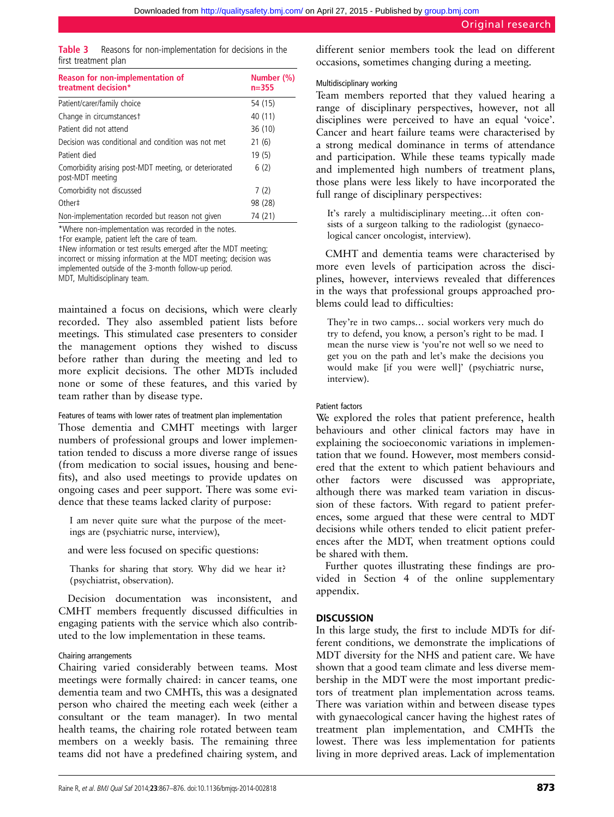## <span id="page-6-0"></span>Table 3 Reasons for non-implementation for decisions in the first treatment plan

| <b>Reason for non-implementation of</b><br>treatment decision*            | Number (%)<br>$n = 355$ |  |
|---------------------------------------------------------------------------|-------------------------|--|
| Patient/carer/family choice                                               | 54 (15)                 |  |
| Change in circumstances†                                                  | 40 (11)                 |  |
| Patient did not attend                                                    | 36 (10)                 |  |
| Decision was conditional and condition was not met                        | 21(6)                   |  |
| Patient died                                                              | 19(5)                   |  |
| Comorbidity arising post-MDT meeting, or deteriorated<br>post-MDT meeting | 6(2)                    |  |
| Comorbidity not discussed                                                 | 7(2)                    |  |
| Other#                                                                    | 98 (28)                 |  |
| Non-implementation recorded but reason not given                          | 74 (21)                 |  |

\*Where non-implementation was recorded in the notes.

†For example, patient left the care of team.

‡New information or test results emerged after the MDT meeting; incorrect or missing information at the MDT meeting; decision was implemented outside of the 3-month follow-up period. MDT, Multidisciplinary team.

maintained a focus on decisions, which were clearly recorded. They also assembled patient lists before meetings. This stimulated case presenters to consider the management options they wished to discuss before rather than during the meeting and led to more explicit decisions. The other MDTs included none or some of these features, and this varied by team rather than by disease type.

Features of teams with lower rates of treatment plan implementation Those dementia and CMHT meetings with larger numbers of professional groups and lower implementation tended to discuss a more diverse range of issues (from medication to social issues, housing and benefits), and also used meetings to provide updates on ongoing cases and peer support. There was some evidence that these teams lacked clarity of purpose:

I am never quite sure what the purpose of the meetings are (psychiatric nurse, interview),

and were less focused on specific questions:

Thanks for sharing that story. Why did we hear it? (psychiatrist, observation).

Decision documentation was inconsistent, and CMHT members frequently discussed difficulties in engaging patients with the service which also contributed to the low implementation in these teams.

## Chairing arrangements

Chairing varied considerably between teams. Most meetings were formally chaired: in cancer teams, one dementia team and two CMHTs, this was a designated person who chaired the meeting each week (either a consultant or the team manager). In two mental health teams, the chairing role rotated between team members on a weekly basis. The remaining three teams did not have a predefined chairing system, and different senior members took the lead on different occasions, sometimes changing during a meeting.

## Multidisciplinary working

Team members reported that they valued hearing a range of disciplinary perspectives, however, not all disciplines were perceived to have an equal 'voice'. Cancer and heart failure teams were characterised by a strong medical dominance in terms of attendance and participation. While these teams typically made and implemented high numbers of treatment plans, those plans were less likely to have incorporated the full range of disciplinary perspectives:

It's rarely a multidisciplinary meeting…it often consists of a surgeon talking to the radiologist (gynaecological cancer oncologist, interview).

CMHT and dementia teams were characterised by more even levels of participation across the disciplines, however, interviews revealed that differences in the ways that professional groups approached problems could lead to difficulties:

They're in two camps… social workers very much do try to defend, you know, a person's right to be mad. I mean the nurse view is 'you're not well so we need to get you on the path and let's make the decisions you would make [if you were well]' (psychiatric nurse, interview).

#### Patient factors

We explored the roles that patient preference, health behaviours and other clinical factors may have in explaining the socioeconomic variations in implementation that we found. However, most members considered that the extent to which patient behaviours and other factors were discussed was appropriate, although there was marked team variation in discussion of these factors. With regard to patient preferences, some argued that these were central to MDT decisions while others tended to elicit patient preferences after the MDT, when treatment options could be shared with them.

Further quotes illustrating these findings are provided in Section 4 of the online supplementary appendix.

## **DISCUSSION**

In this large study, the first to include MDTs for different conditions, we demonstrate the implications of MDT diversity for the NHS and patient care. We have shown that a good team climate and less diverse membership in the MDT were the most important predictors of treatment plan implementation across teams. There was variation within and between disease types with gynaecological cancer having the highest rates of treatment plan implementation, and CMHTs the lowest. There was less implementation for patients living in more deprived areas. Lack of implementation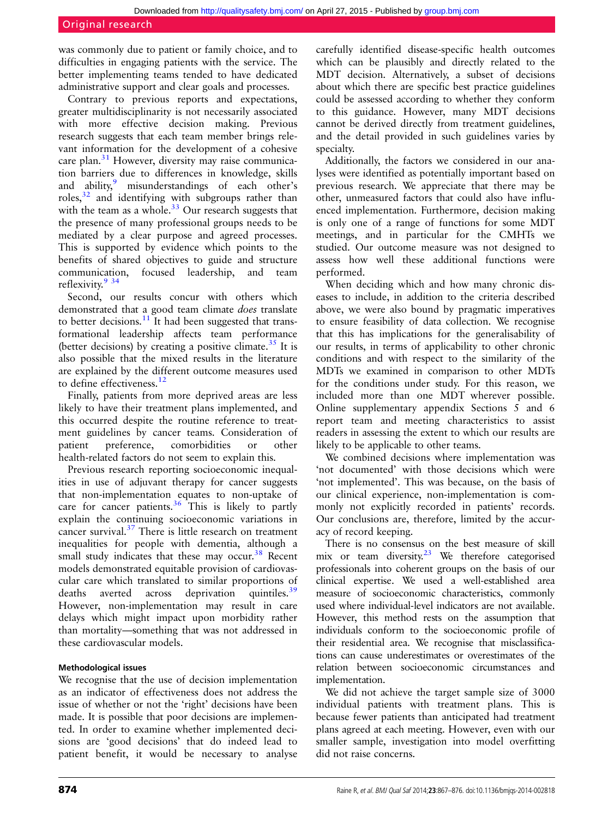was commonly due to patient or family choice, and to difficulties in engaging patients with the service. The better implementing teams tended to have dedicated administrative support and clear goals and processes.

Contrary to previous reports and expectations, greater multidisciplinarity is not necessarily associated with more effective decision making. Previous research suggests that each team member brings relevant information for the development of a cohesive care plan. $31$  However, diversity may raise communication barriers due to differences in knowledge, skills and ability,<sup>[9](#page-9-0)</sup> misunderstandings of each other's roles, $32$  and identifying with subgroups rather than with the team as a whole. $33$  Our research suggests that the presence of many professional groups needs to be mediated by a clear purpose and agreed processes. This is supported by evidence which points to the benefits of shared objectives to guide and structure communication, focused leadership, and team reflexivity.<sup>9</sup> 34

Second, our results concur with others which demonstrated that a good team climate does translate to better decisions.<sup>[11](#page-9-0)</sup> It had been suggested that transformational leadership affects team performance (better decisions) by creating a positive climate.<sup>[35](#page-9-0)</sup> It is also possible that the mixed results in the literature are explained by the different outcome measures used to define effectiveness.<sup>[12](#page-9-0)</sup>

Finally, patients from more deprived areas are less likely to have their treatment plans implemented, and this occurred despite the routine reference to treatment guidelines by cancer teams. Consideration of patient preference, comorbidities or other health-related factors do not seem to explain this.

Previous research reporting socioeconomic inequalities in use of adjuvant therapy for cancer suggests that non-implementation equates to non-uptake of care for cancer patients. $36$  This is likely to partly explain the continuing socioeconomic variations in cancer survival.<sup>[37](#page-9-0)</sup> There is little research on treatment inequalities for people with dementia, although a small study indicates that these may occur.<sup>[38](#page-9-0)</sup> Recent models demonstrated equitable provision of cardiovascular care which translated to similar proportions of deaths averted across deprivation quintiles.<sup>[39](#page-9-0)</sup> However, non-implementation may result in care delays which might impact upon morbidity rather than mortality—something that was not addressed in these cardiovascular models.

## Methodological issues

We recognise that the use of decision implementation as an indicator of effectiveness does not address the issue of whether or not the 'right' decisions have been made. It is possible that poor decisions are implemented. In order to examine whether implemented decisions are 'good decisions' that do indeed lead to patient benefit, it would be necessary to analyse

carefully identified disease-specific health outcomes which can be plausibly and directly related to the MDT decision. Alternatively, a subset of decisions about which there are specific best practice guidelines could be assessed according to whether they conform to this guidance. However, many MDT decisions cannot be derived directly from treatment guidelines, and the detail provided in such guidelines varies by specialty.

Additionally, the factors we considered in our analyses were identified as potentially important based on previous research. We appreciate that there may be other, unmeasured factors that could also have influenced implementation. Furthermore, decision making is only one of a range of functions for some MDT meetings, and in particular for the CMHTs we studied. Our outcome measure was not designed to assess how well these additional functions were performed.

When deciding which and how many chronic diseases to include, in addition to the criteria described above, we were also bound by pragmatic imperatives to ensure feasibility of data collection. We recognise that this has implications for the generalisability of our results, in terms of applicability to other chronic conditions and with respect to the similarity of the MDTs we examined in comparison to other MDTs for the conditions under study. For this reason, we included more than one MDT wherever possible. Online supplementary appendix Sections 5 and 6 report team and meeting characteristics to assist readers in assessing the extent to which our results are likely to be applicable to other teams.

We combined decisions where implementation was 'not documented' with those decisions which were 'not implemented'. This was because, on the basis of our clinical experience, non-implementation is commonly not explicitly recorded in patients' records. Our conclusions are, therefore, limited by the accuracy of record keeping.

There is no consensus on the best measure of skill mix or team diversity.<sup>23</sup> We therefore categorised professionals into coherent groups on the basis of our clinical expertise. We used a well-established area measure of socioeconomic characteristics, commonly used where individual-level indicators are not available. However, this method rests on the assumption that individuals conform to the socioeconomic profile of their residential area. We recognise that misclassifications can cause underestimates or overestimates of the relation between socioeconomic circumstances and implementation.

We did not achieve the target sample size of 3000 individual patients with treatment plans. This is because fewer patients than anticipated had treatment plans agreed at each meeting. However, even with our smaller sample, investigation into model overfitting did not raise concerns.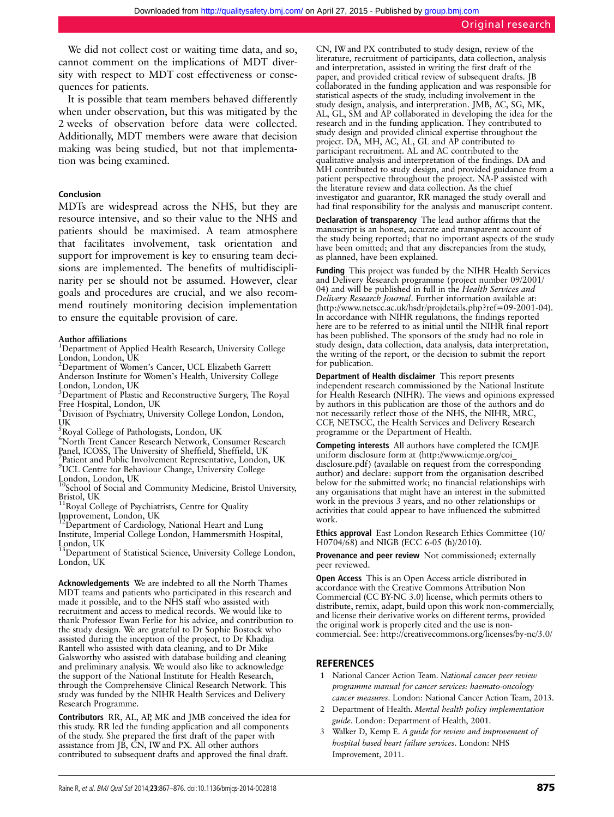<span id="page-8-0"></span>We did not collect cost or waiting time data, and so, cannot comment on the implications of MDT diversity with respect to MDT cost effectiveness or consequences for patients.

It is possible that team members behaved differently when under observation, but this was mitigated by the 2 weeks of observation before data were collected. Additionally, MDT members were aware that decision making was being studied, but not that implementation was being examined.

#### Conclusion

MDTs are widespread across the NHS, but they are resource intensive, and so their value to the NHS and patients should be maximised. A team atmosphere that facilitates involvement, task orientation and support for improvement is key to ensuring team decisions are implemented. The benefits of multidisciplinarity per se should not be assumed. However, clear goals and procedures are crucial, and we also recommend routinely monitoring decision implementation to ensure the equitable provision of care.

#### Author affiliations

<sup>1</sup>Department of Applied Health Research, University College London, London, UK

<sup>2</sup>Department of Women's Cancer, UCL Elizabeth Garrett Anderson Institute for Women's Health, University College London, London, UK

<sup>3</sup>Department of Plastic and Reconstructive Surgery, The Royal Free Hospital, London, UK

<sup>4</sup>Division of Psychiatry, University College London, London, **IK** 

<sup>5</sup>Royal College of Pathologists, London, UK

 North Trent Cancer Research Network, Consumer Research Panel, ICOSS, The University of Sheffield, Sheffield, UK Patient and Public Involvement Representative, London, UK UCL Centre for Behaviour Change, University College

London, London, UK 10School of Social and Community Medicine, Bristol University,

Bristol, UK<br><sup>11</sup>Royal College of Psychiatrists, Centre for Quality Improvement, London, UK

<sup>12</sup>Department of Cardiology, National Heart and Lung

Institute, Imperial College London, Hammersmith Hospital, London, UK

13Department of Statistical Science, University College London, London, UK

Acknowledgements We are indebted to all the North Thames MDT teams and patients who participated in this research and made it possible, and to the NHS staff who assisted with recruitment and access to medical records. We would like to thank Professor Ewan Ferlie for his advice, and contribution to the study design. We are grateful to Dr Sophie Bostock who assisted during the inception of the project, to Dr Khadija Rantell who assisted with data cleaning, and to Dr Mike Galsworthy who assisted with database building and cleaning and preliminary analysis. We would also like to acknowledge the support of the National Institute for Health Research, through the Comprehensive Clinical Research Network. This study was funded by the NIHR Health Services and Delivery Research Programme.

Contributors RR, AL, AP, MK and JMB conceived the idea for this study. RR led the funding application and all components of the study. She prepared the first draft of the paper with assistance from JB, CN, IW and PX. All other authors contributed to subsequent drafts and approved the final draft.

CN, IW and PX contributed to study design, review of the literature, recruitment of participants, data collection, analysis and interpretation, assisted in writing the first draft of the paper, and provided critical review of subsequent drafts. JB collaborated in the funding application and was responsible for statistical aspects of the study, including involvement in the study design, analysis, and interpretation. JMB, AC, SG, MK, AL, GL, SM and AP collaborated in developing the idea for the research and in the funding application. They contributed to study design and provided clinical expertise throughout the project. DA, MH, AC, AL, GL and AP contributed to participant recruitment. AL and AC contributed to the qualitative analysis and interpretation of the findings. DA and MH contributed to study design, and provided guidance from a patient perspective throughout the project. NA-P assisted with the literature review and data collection. As the chief investigator and guarantor, RR managed the study overall and had final responsibility for the analysis and manuscript content.

Declaration of transparency The lead author affirms that the manuscript is an honest, accurate and transparent account of the study being reported; that no important aspects of the study have been omitted; and that any discrepancies from the study, as planned, have been explained.

Funding This project was funded by the NIHR Health Services and Delivery Research programme (project number 09/2001/ 04) and will be published in full in the Health Services and Delivery Research Journal. Further information available at: [\(http://www.netscc.ac.uk/hsdr/projdetails.php?ref=09-2001-04\).](http://www.netscc.ac.uk/hsdr/projdetails.php?ref=09-2001-04)) In accordance with NIHR regulations, the findings reported here are to be referred to as initial until the NIHR final report has been published. The sponsors of the study had no role in study design, data collection, data analysis, data interpretation, the writing of the report, or the decision to submit the report for publication.

Department of Health disclaimer This report presents independent research commissioned by the National Institute for Health Research (NIHR). The views and opinions expressed by authors in this publication are those of the authors and do not necessarily reflect those of the NHS, the NIHR, MRC, CCF, NETSCC, the Health Services and Delivery Research programme or the Department of Health.

Competing interests All authors have completed the ICMJE uniform disclosure form at [\(http://www.icmje.org/coi\\_](http://www.icmje.org/coi_disclosure.pdf)) disclosure.pdf) (available on request from the corresponding author) and declare: support from the organisation described below for the submitted work; no financial relationships with any organisations that might have an interest in the submitted work in the previous 3 years, and no other relationships or activities that could appear to have influenced the submitted work.

Ethics approval East London Research Ethics Committee (10/ H0704/68) and NIGB (ECC 6-05 (h)/2010).

Provenance and peer review Not commissioned; externally peer reviewed.

Open Access This is an Open Access article distributed in accordance with the Creative Commons Attribution Non Commercial (CC BY-NC 3.0) license, which permits others to distribute, remix, adapt, build upon this work non-commercially, and license their derivative works on different terms, provided the original work is properly cited and the use is noncommercial. See: http://creativecommons.org/licenses/by-nc/3.0/

#### **REFERENCES**

- 1 National Cancer Action Team. National cancer peer review programme manual for cancer services: haemato-oncology cancer measures. London: National Cancer Action Team, 2013.
- 2 Department of Health. Mental health policy implementation guide. London: Department of Health, 2001.
- 3 Walker D, Kemp E. A guide for review and improvement of hospital based heart failure services. London: NHS Improvement, 2011.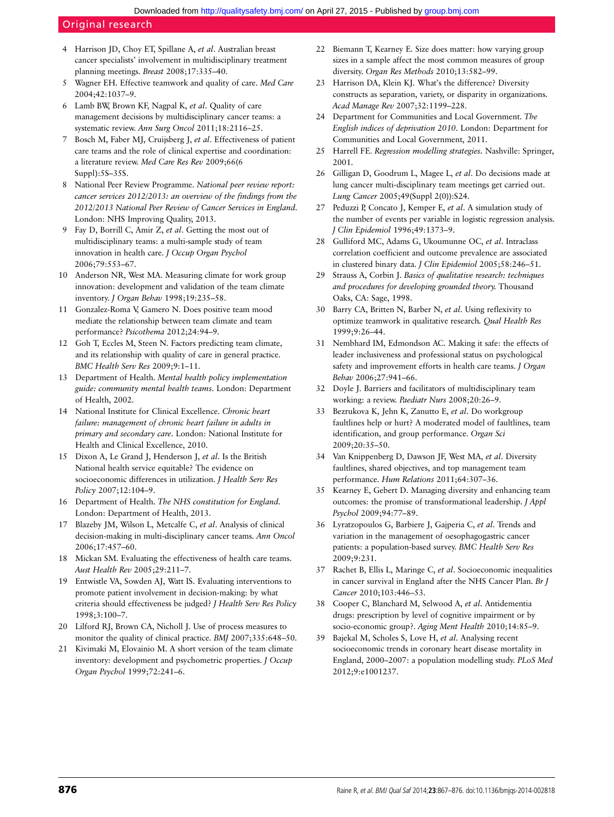## <span id="page-9-0"></span>Original research

- 4 Harrison JD, Choy ET, Spillane A, et al. Australian breast cancer specialists' involvement in multidisciplinary treatment planning meetings. Breast 2008;17:335–40.
- 5 Wagner EH. Effective teamwork and quality of care. Med Care 2004;42:1037–9.
- 6 Lamb BW, Brown KF, Nagpal K, et al. Quality of care management decisions by multidisciplinary cancer teams: a systematic review. Ann Surg Oncol 2011;18:2116–25.
- 7 Bosch M, Faber MJ, Cruijsberg J, et al. Effectiveness of patient care teams and the role of clinical expertise and coordination: a literature review. Med Care Res Rev 2009;66(6 Suppl):5S–35S.
- 8 National Peer Review Programme. National peer review report: cancer services 2012/2013: an overview of the findings from the 2012/2013 National Peer Review of Cancer Services in England. London: NHS Improving Quality, 2013.
- 9 Fay D, Borrill C, Amir Z, et al. Getting the most out of multidisciplinary teams: a multi-sample study of team innovation in health care. J Occup Organ Psychol 2006;79:553–67.
- 10 Anderson NR, West MA. Measuring climate for work group innovation: development and validation of the team climate inventory. J Organ Behav 1998;19:235–58.
- 11 Gonzalez-Roma V, Gamero N. Does positive team mood mediate the relationship between team climate and team performance? Psicothema 2012;24:94–9.
- 12 Goh T, Eccles M, Steen N. Factors predicting team climate, and its relationship with quality of care in general practice. BMC Health Serv Res 2009;9:1–11.
- 13 Department of Health. Mental health policy implementation guide: community mental health teams. London: Department of Health, 2002.
- 14 National Institute for Clinical Excellence. Chronic heart failure: management of chronic heart failure in adults in primary and secondary care. London: National Institute for Health and Clinical Excellence, 2010.
- 15 Dixon A, Le Grand J, Henderson J, et al. Is the British National health service equitable? The evidence on socioeconomic differences in utilization. J Health Serv Res Policy 2007;12:104–9.
- 16 Department of Health. The NHS constitution for England. London: Department of Health, 2013.
- 17 Blazeby JM, Wilson L, Metcalfe C, et al. Analysis of clinical decision-making in multi-disciplinary cancer teams. Ann Oncol 2006;17:457–60.
- 18 Mickan SM. Evaluating the effectiveness of health care teams. Aust Health Rev 2005;29:211–7.
- 19 Entwistle VA, Sowden AJ, Watt IS. Evaluating interventions to promote patient involvement in decision-making: by what criteria should effectiveness be judged? J Health Serv Res Policy 1998;3:100–7.
- 20 Lilford RJ, Brown CA, Nicholl J. Use of process measures to monitor the quality of clinical practice. BMJ 2007;335:648–50.
- 21 Kivimaki M, Elovainio M. A short version of the team climate inventory: development and psychometric properties. J Occup Organ Psychol 1999;72:241–6.
- 22 Biemann T, Kearney E. Size does matter: how varying group sizes in a sample affect the most common measures of group diversity. Organ Res Methods 2010;13:582–99.
- 23 Harrison DA, Klein KJ. What's the difference? Diversity constructs as separation, variety, or disparity in organizations. Acad Manage Rev 2007;32:1199–228.
- 24 Department for Communities and Local Government. The English indices of deprivation 2010. London: Department for Communities and Local Government, 2011.
- 25 Harrell FE. Regression modelling strategies. Nashville: Springer, 2001.
- 26 Gilligan D, Goodrum L, Magee L, et al. Do decisions made at lung cancer multi-disciplinary team meetings get carried out. Lung Cancer 2005;49(Suppl 2(0)):S24.
- 27 Peduzzi P, Concato J, Kemper E, et al. A simulation study of the number of events per variable in logistic regression analysis. J Clin Epidemiol 1996;49:1373–9.
- 28 Gulliford MC, Adams G, Ukoumunne OC, et al. Intraclass correlation coefficient and outcome prevalence are associated in clustered binary data. J Clin Epidemiol 2005;58:246–51.
- 29 Strauss A, Corbin J. Basics of qualitative research: techniques and procedures for developing grounded theory. Thousand Oaks, CA: Sage, 1998.
- 30 Barry CA, Britten N, Barber N, et al. Using reflexivity to optimize teamwork in qualitative research. Qual Health Res 1999;9:26–44.
- 31 Nembhard IM, Edmondson AC. Making it safe: the effects of leader inclusiveness and professional status on psychological safety and improvement efforts in health care teams. J Organ Behav 2006;27:941–66.
- 32 Doyle J. Barriers and facilitators of multidisciplinary team working: a review. Paediatr Nurs 2008;20:26–9.
- 33 Bezrukova K, Jehn K, Zanutto E, et al. Do workgroup faultlines help or hurt? A moderated model of faultlines, team identification, and group performance. Organ Sci 2009;20:35–50.
- 34 Van Knippenberg D, Dawson JF, West MA, et al. Diversity faultlines, shared objectives, and top management team performance. Hum Relations 2011;64:307–36.
- 35 Kearney E, Gebert D. Managing diversity and enhancing team outcomes: the promise of transformational leadership. J Appl Psychol 2009;94:77–89.
- 36 Lyratzopoulos G, Barbiere J, Gajperia C, et al. Trends and variation in the management of oesophagogastric cancer patients: a population-based survey. BMC Health Serv Res 2009;9:231.
- 37 Rachet B, Ellis L, Maringe C, et al. Socioeconomic inequalities in cancer survival in England after the NHS Cancer Plan. Br J Cancer 2010;103:446–53.
- 38 Cooper C, Blanchard M, Selwood A, et al. Antidementia drugs: prescription by level of cognitive impairment or by socio-economic group?. Aging Ment Health 2010;14:85-9.
- 39 Bajekal M, Scholes S, Love H, et al. Analysing recent socioeconomic trends in coronary heart disease mortality in England, 2000–2007: a population modelling study. PLoS Med 2012;9:e1001237.